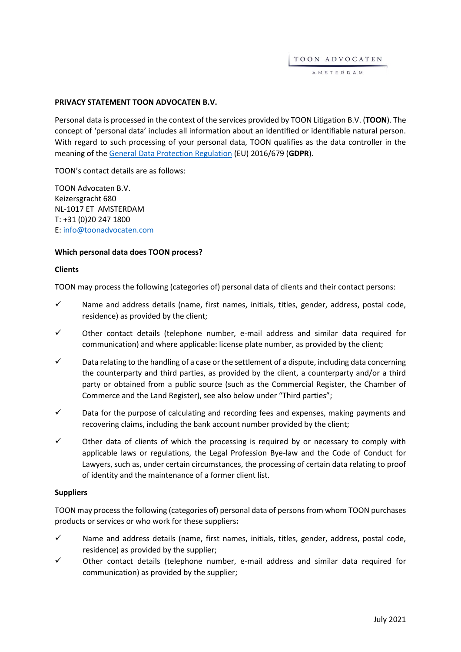TOON ADVOCATEN

AMSTERDAM

### **PRIVACY STATEMENT TOON ADVOCATEN B.V.**

Personal data is processed in the context of the services provided by TOON Litigation B.V. (**TOON**). The concept of 'personal data' includes all information about an identified or identifiable natural person. With regard to such processing of your personal data, TOON qualifies as the data controller in the meaning of the [General Data Protection Regulation](https://eur-lex.europa.eu/legal-content/EN/TXT/HTML/?uri=CELEX:32016R0679&from=EN) (EU) 2016/679 (**GDPR**).

TOON's contact details are as follows:

TOON Advocaten B.V. Keizersgracht 680 NL-1017 ET AMSTERDAM T: +31 (0)20 247 1800 E[: info@toonadvocaten.com](mailto:info@toonadvocaten.com)

#### **Which personal data does TOON process?**

#### **Clients**

TOON may process the following (categories of) personal data of clients and their contact persons:

- $\checkmark$  Name and address details (name, first names, initials, titles, gender, address, postal code, residence) as provided by the client;
- $\checkmark$  Other contact details (telephone number, e-mail address and similar data required for communication) and where applicable: license plate number, as provided by the client;
- $\checkmark$  Data relating to the handling of a case or the settlement of a dispute, including data concerning the counterparty and third parties, as provided by the client, a counterparty and/or a third party or obtained from a public source (such as the Commercial Register, the Chamber of Commerce and the Land Register), see also below under "Third parties";
- $\checkmark$  Data for the purpose of calculating and recording fees and expenses, making payments and recovering claims, including the bank account number provided by the client;
- $\checkmark$  Other data of clients of which the processing is required by or necessary to comply with applicable laws or regulations, the Legal Profession Bye-law and the Code of Conduct for Lawyers, such as, under certain circumstances, the processing of certain data relating to proof of identity and the maintenance of a former client list.

#### **Suppliers**

TOON may process the following (categories of) personal data of persons from whom TOON purchases products or services or who work for these suppliers**:**

- $\checkmark$  Name and address details (name, first names, initials, titles, gender, address, postal code, residence) as provided by the supplier;
- $\checkmark$  Other contact details (telephone number, e-mail address and similar data required for communication) as provided by the supplier;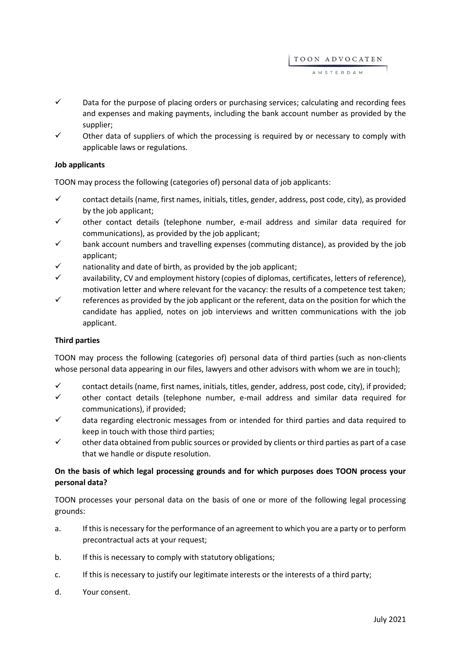TOON ADVOCATEN A M S T E R D A M

- $\checkmark$  Data for the purpose of placing orders or purchasing services; calculating and recording fees and expenses and making payments, including the bank account number as provided by the supplier;
- $\checkmark$  Other data of suppliers of which the processing is required by or necessary to comply with applicable laws or regulations.

# **Job applicants**

TOON may process the following (categories of) personal data of job applicants:

- $\checkmark$  contact details (name, first names, initials, titles, gender, address, post code, city), as provided by the job applicant;
- $\checkmark$  other contact details (telephone number, e-mail address and similar data required for communications), as provided by the job applicant;
- $\checkmark$  bank account numbers and travelling expenses (commuting distance), as provided by the job applicant;
- nationality and date of birth, as provided by the job applicant;
- availability, CV and employment history (copies of diplomas, certificates, letters of reference), motivation letter and where relevant for the vacancy: the results of a competence test taken;
- $\checkmark$  references as provided by the job applicant or the referent, data on the position for which the candidate has applied, notes on job interviews and written communications with the job applicant.

## **Third parties**

TOON may process the following (categories of) personal data of third parties (such as non-clients whose personal data appearing in our files, lawyers and other advisors with whom we are in touch);

- $\checkmark$  contact details (name, first names, initials, titles, gender, address, post code, city), if provided;
- $\checkmark$  other contact details (telephone number, e-mail address and similar data required for communications), if provided;
- $\checkmark$  data regarding electronic messages from or intended for third parties and data required to keep in touch with those third parties;
- $\checkmark$  other data obtained from public sources or provided by clients or third parties as part of a case that we handle or dispute resolution.

# **On the basis of which legal processing grounds and for which purposes does TOON process your personal data?**

TOON processes your personal data on the basis of one or more of the following legal processing grounds:

- a. If this is necessary for the performance of an agreement to which you are a party or to perform precontractual acts at your request;
- b. If this is necessary to comply with statutory obligations;
- c. If this is necessary to justify our legitimate interests or the interests of a third party;
- d. Your consent.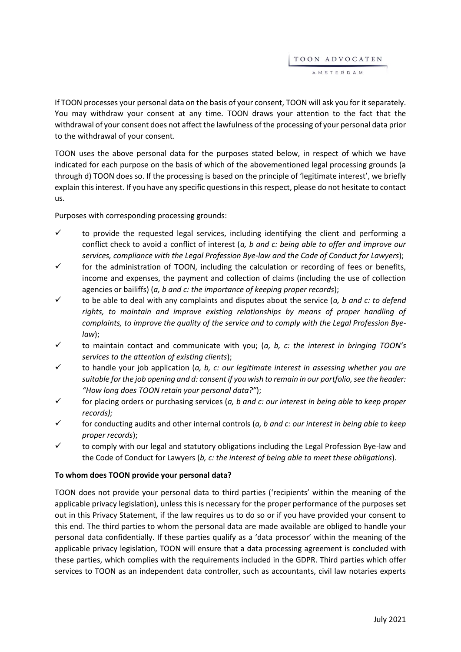TOON ADVOCATEN A M S T E R D A M

If TOON processes your personal data on the basis of your consent, TOON will ask you for it separately. You may withdraw your consent at any time. TOON draws your attention to the fact that the withdrawal of your consent does not affect the lawfulness of the processing of your personal data prior to the withdrawal of your consent.

TOON uses the above personal data for the purposes stated below, in respect of which we have indicated for each purpose on the basis of which of the abovementioned legal processing grounds (a through d) TOON does so. If the processing is based on the principle of 'legitimate interest', we briefly explain this interest. If you have any specific questions in this respect, please do not hesitate to contact us.

Purposes with corresponding processing grounds:

- $\checkmark$  to provide the requested legal services, including identifying the client and performing a conflict check to avoid a conflict of interest (*a, b and c: being able to offer and improve our services, compliance with the Legal Profession Bye-law and the Code of Conduct for Lawyers*);
- $\checkmark$  for the administration of TOON, including the calculation or recording of fees or benefits, income and expenses, the payment and collection of claims (including the use of collection agencies or bailiffs) (*a, b and c: the importance of keeping proper records*);
- $\checkmark$  to be able to deal with any complaints and disputes about the service (*a*, *b* and *c*: to defend *rights, to maintain and improve existing relationships by means of proper handling of complaints, to improve the quality of the service and to comply with the Legal Profession Byelaw*);
- to maintain contact and communicate with you; (*a, b, c: the interest in bringing TOON's services to the attention of existing clients*);
- to handle your job application (*a, b, c: our legitimate interest in assessing whether you are suitable for the job opening and d: consent if you wish to remain in our portfolio, see the header: "How long does TOON retain your personal data?"*);
- for placing orders or purchasing services (*a, b and c: our interest in being able to keep proper records);*
- $\checkmark$  for conducting audits and other internal controls (*a, b and c: our interest in being able to keep proper records*);
- $\checkmark$  to comply with our legal and statutory obligations including the Legal Profession Bye-law and the Code of Conduct for Lawyers (*b, c: the interest of being able to meet these obligations*).

## **To whom does TOON provide your personal data?**

TOON does not provide your personal data to third parties ('recipients' within the meaning of the applicable privacy legislation), unless this is necessary for the proper performance of the purposes set out in this Privacy Statement, if the law requires us to do so or if you have provided your consent to this end. The third parties to whom the personal data are made available are obliged to handle your personal data confidentially. If these parties qualify as a 'data processor' within the meaning of the applicable privacy legislation, TOON will ensure that a data processing agreement is concluded with these parties, which complies with the requirements included in the GDPR. Third parties which offer services to TOON as an independent data controller, such as accountants, civil law notaries experts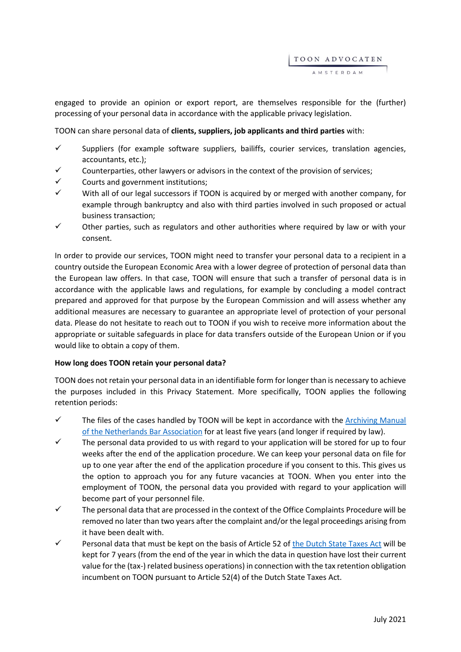engaged to provide an opinion or export report, are themselves responsible for the (further) processing of your personal data in accordance with the applicable privacy legislation.

TOON can share personal data of **clients, suppliers, job applicants and third parties** with:

- $\checkmark$  Suppliers (for example software suppliers, bailiffs, courier services, translation agencies, accountants, etc.);
- Counterparties, other lawyers or advisors in the context of the provision of services;
- $\checkmark$  Courts and government institutions;
- $\checkmark$  With all of our legal successors if TOON is acquired by or merged with another company, for example through bankruptcy and also with third parties involved in such proposed or actual business transaction;
- $\checkmark$  Other parties, such as regulators and other authorities where required by law or with your consent.

In order to provide our services, TOON might need to transfer your personal data to a recipient in a country outside the European Economic Area with a lower degree of protection of personal data than the European law offers. In that case, TOON will ensure that such a transfer of personal data is in accordance with the applicable laws and regulations, for example by concluding a model contract prepared and approved for that purpose by the European Commission and will assess whether any additional measures are necessary to guarantee an appropriate level of protection of your personal data. Please do not hesitate to reach out to TOON if you wish to receive more information about the appropriate or suitable safeguards in place for data transfers outside of the European Union or if you would like to obtain a copy of them.

## **How long does TOON retain your personal data?**

TOON does not retain your personal data in an identifiable form for longer than is necessary to achieve the purposes included in this Privacy Statement. More specifically, TOON applies the following retention periods:

- $\checkmark$  The files of the cases handled by TOON will be kept in accordance with the Archiving Manual [of the Netherlands Bar Association](https://www.advocatenorde.nl/voor-uw-praktijk/modellen-handleidingen-formulieren/archiveringhttps:/www.advocatenorde.nl/voor-uw-praktijk/modellen-handleidingen-formulieren/archiveringhttps:/www.advocatenorde.nl/voor-uw-praktijk/modellen-handleidingen-formulieren/archiveringhttps:/www.advocatenorde.nl/voor-uw-praktijk/modellen-handleidingen-formulieren/archivering) for at least five years (and longer if required by law).
- $\checkmark$  The personal data provided to us with regard to your application will be stored for up to four weeks after the end of the application procedure. We can keep your personal data on file for up to one year after the end of the application procedure if you consent to this. This gives us the option to approach you for any future vacancies at TOON. When you enter into the employment of TOON, the personal data you provided with regard to your application will become part of your personnel file.
- $\checkmark$  The personal data that are processed in the context of the Office Complaints Procedure will be removed no later than two years after the complaint and/or the legal proceedings arising from it have been dealt with.
- $\checkmark$  Personal data that must be kept on the basis of Article 52 of [the Dutch State Taxes Act](https://wetten.overheid.nl/BWBR0002320/2020-01-01) will be kept for 7 years (from the end of the year in which the data in question have lost their current value for the (tax-) related business operations) in connection with the tax retention obligation incumbent on TOON pursuant to Article 52(4) of the Dutch State Taxes Act.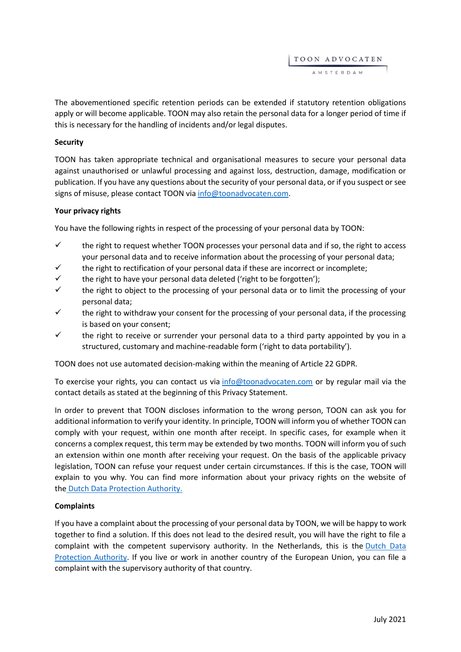TOON ADVOCATEN AMSTERDAM

The abovementioned specific retention periods can be extended if statutory retention obligations apply or will become applicable. TOON may also retain the personal data for a longer period of time if this is necessary for the handling of incidents and/or legal disputes.

# **Security**

TOON has taken appropriate technical and organisational measures to secure your personal data against unauthorised or unlawful processing and against loss, destruction, damage, modification or publication. If you have any questions about the security of your personal data, or if you suspect or see signs of misuse, please contact TOON via [info@toonadvocaten.com.](mailto:info@toonadvocaten.com)

# **Your privacy rights**

You have the following rights in respect of the processing of your personal data by TOON:

- $\checkmark$  the right to request whether TOON processes your personal data and if so, the right to access your personal data and to receive information about the processing of your personal data;
- $\checkmark$  the right to rectification of your personal data if these are incorrect or incomplete;
- $\checkmark$  the right to have your personal data deleted ('right to be forgotten');
- the right to object to the processing of your personal data or to limit the processing of your personal data;
- $\checkmark$  the right to withdraw your consent for the processing of your personal data, if the processing is based on your consent;
- $\checkmark$  the right to receive or surrender your personal data to a third party appointed by you in a structured, customary and machine-readable form ('right to data portability').

TOON does not use automated decision-making within the meaning of Article 22 GDPR.

To exercise your rights, you can contact us via [info@toonadvocaten.com](mailto:info@toonadvocaten.com) or by regular mail via the contact details as stated at the beginning of this Privacy Statement.

In order to prevent that TOON discloses information to the wrong person, TOON can ask you for additional information to verify your identity. In principle, TOON will inform you of whether TOON can comply with your request, within one month after receipt. In specific cases, for example when it concerns a complex request, this term may be extended by two months. TOON will inform you of such an extension within one month after receiving your request. On the basis of the applicable privacy legislation, TOON can refuse your request under certain circumstances. If this is the case, TOON will explain to you why. You can find more information about your privacy rights on the website of the [Dutch Data Protection Authority.](https://autoriteitpersoonsgegevens.nl/nl/zelf-doen/privacyrechten)

## **Complaints**

If you have a complaint about the processing of your personal data by TOON, we will be happy to work together to find a solution. If this does not lead to the desired result, you will have the right to file a complaint with the competent supervisory authority. In the Netherlands, this is the Dutch Data [Protection Authority.](https://autoriteitpersoonsgegevens.nl/nl/zelf-doen/gebruik-uw-privacyrechten/klacht-melden-bij-de-ap) If you live or work in another country of the European Union, you can file a complaint with the supervisory authority of that country.